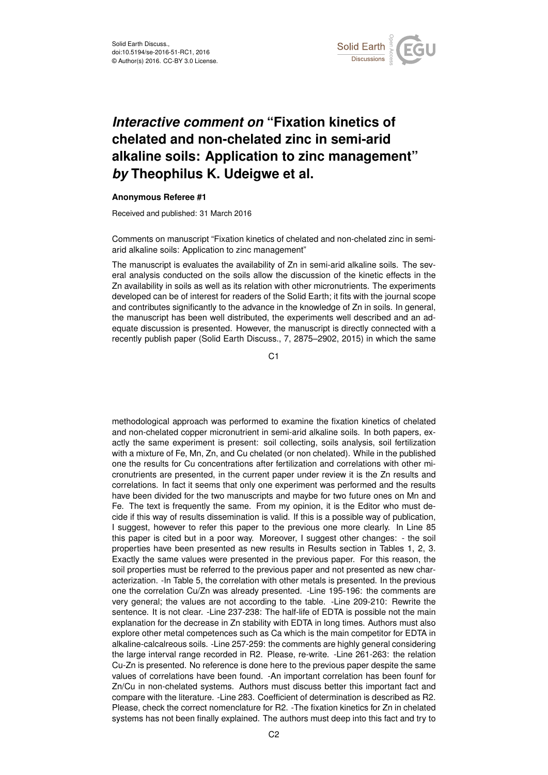

## *Interactive comment on* **"Fixation kinetics of chelated and non-chelated zinc in semi-arid alkaline soils: Application to zinc management"** *by* **Theophilus K. Udeigwe et al.**

## **Anonymous Referee #1**

Received and published: 31 March 2016

Comments on manuscript "Fixation kinetics of chelated and non-chelated zinc in semiarid alkaline soils: Application to zinc management"

The manuscript is evaluates the availability of Zn in semi-arid alkaline soils. The several analysis conducted on the soils allow the discussion of the kinetic effects in the Zn availability in soils as well as its relation with other micronutrients. The experiments developed can be of interest for readers of the Solid Earth; it fits with the journal scope and contributes significantly to the advance in the knowledge of Zn in soils. In general, the manuscript has been well distributed, the experiments well described and an adequate discussion is presented. However, the manuscript is directly connected with a recently publish paper (Solid Earth Discuss., 7, 2875–2902, 2015) in which the same

C<sub>1</sub>

methodological approach was performed to examine the fixation kinetics of chelated and non-chelated copper micronutrient in semi-arid alkaline soils. In both papers, exactly the same experiment is present: soil collecting, soils analysis, soil fertilization with a mixture of Fe, Mn, Zn, and Cu chelated (or non chelated). While in the published one the results for Cu concentrations after fertilization and correlations with other micronutrients are presented, in the current paper under review it is the Zn results and correlations. In fact it seems that only one experiment was performed and the results have been divided for the two manuscripts and maybe for two future ones on Mn and Fe. The text is frequently the same. From my opinion, it is the Editor who must decide if this way of results dissemination is valid. If this is a possible way of publication, I suggest, however to refer this paper to the previous one more clearly. In Line 85 this paper is cited but in a poor way. Moreover, I suggest other changes: - the soil properties have been presented as new results in Results section in Tables 1, 2, 3. Exactly the same values were presented in the previous paper. For this reason, the soil properties must be referred to the previous paper and not presented as new characterization. -In Table 5, the correlation with other metals is presented. In the previous one the correlation Cu/Zn was already presented. -Line 195-196: the comments are very general; the values are not according to the table. -Line 209-210: Rewrite the sentence. It is not clear. -Line 237-238: The half-life of EDTA is possible not the main explanation for the decrease in Zn stability with EDTA in long times. Authors must also explore other metal competences such as Ca which is the main competitor for EDTA in alkaline-calcalreous soils. -Line 257-259: the comments are highly general considering the large interval range recorded in R2. Please, re-write. -Line 261-263: the relation Cu-Zn is presented. No reference is done here to the previous paper despite the same values of correlations have been found. -An important correlation has been founf for Zn/Cu in non-chelated systems. Authors must discuss better this important fact and compare with the literature. -Line 283. Coefficient of determination is described as R2. Please, check the correct nomenclature for R2. -The fixation kinetics for Zn in chelated systems has not been finally explained. The authors must deep into this fact and try to